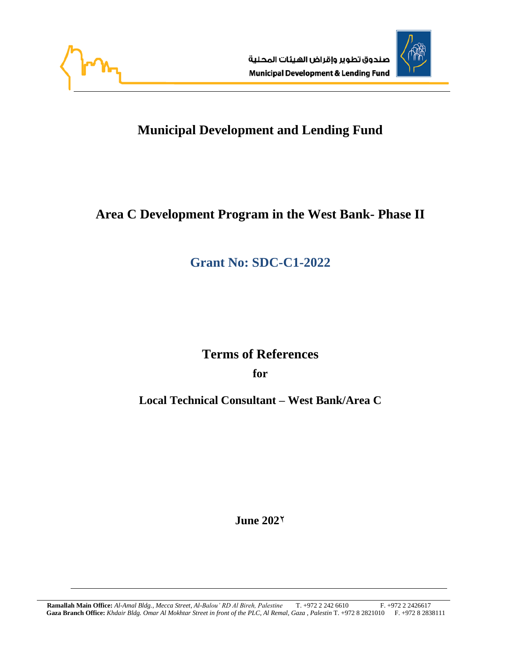



# **Municipal Development and Lending Fund**

# **Area C Development Program in the West Bank- Phase II**

# **Grant No: SDC-C1-2022**

# **Terms of References**

**for**

**Local Technical Consultant – West Bank/Area C**

**June 202**2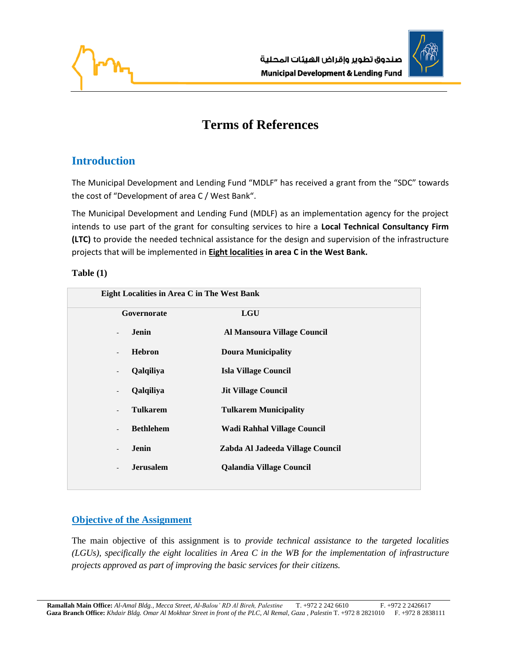



# **Terms of References**

# **Introduction**

The Municipal Development and Lending Fund "MDLF" has received a grant from the "SDC" towards the cost of "Development of area C / West Bank".

The Municipal Development and Lending Fund (MDLF) as an implementation agency for the project intends to use part of the grant for consulting services to hire a **Local Technical Consultancy Firm (LTC)** to provide the needed technical assistance for the design and supervision of the infrastructure projects that will be implemented in **Eight localities in area C in the West Bank.** 

### **Table (1)**

| Eight Localities in Area C in The West Bank |                                              |                                  |  |  |  |
|---------------------------------------------|----------------------------------------------|----------------------------------|--|--|--|
|                                             | Governorate                                  | <b>LGU</b>                       |  |  |  |
|                                             | Jenin<br>$\overline{a}$                      | Al Mansoura Village Council      |  |  |  |
|                                             | <b>Hebron</b><br>$\overline{\phantom{a}}$    | <b>Doura Municipality</b>        |  |  |  |
|                                             | Qalqiliya<br>$\overline{\phantom{a}}$        | <b>Isla Village Council</b>      |  |  |  |
|                                             | Qalqiliya<br>$\overline{\phantom{a}}$        | <b>Jit Village Council</b>       |  |  |  |
|                                             | <b>Tulkarem</b><br>$\overline{\phantom{a}}$  | <b>Tulkarem Municipality</b>     |  |  |  |
|                                             | <b>Bethlehem</b><br>$\overline{\phantom{a}}$ | Wadi Rahhal Village Council      |  |  |  |
|                                             | Jenin<br>$\overline{\phantom{a}}$            | Zabda Al Jadeeda Village Council |  |  |  |
|                                             | <b>Jerusalem</b><br>$\overline{\phantom{a}}$ | Qalandia Village Council         |  |  |  |
|                                             |                                              |                                  |  |  |  |

### **Objective of the Assignment**

The main objective of this assignment is to *provide technical assistance to the targeted localities (LGUs), specifically the eight localities in Area C in the WB for the implementation of infrastructure projects approved as part of improving the basic services for their citizens.*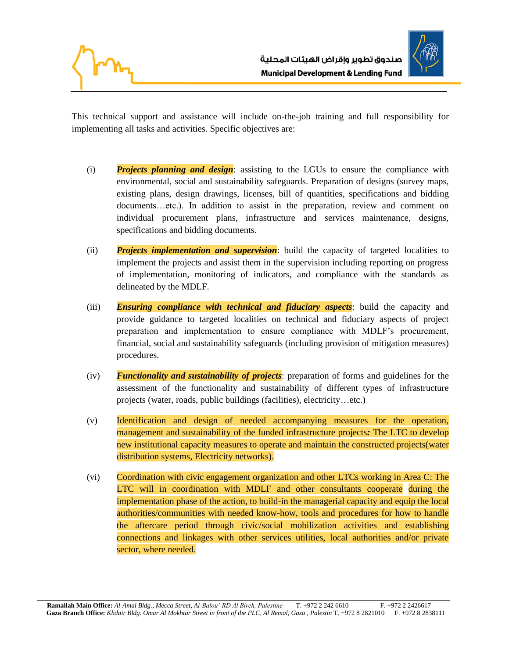



This technical support and assistance will include on-the-job training and full responsibility for implementing all tasks and activities. Specific objectives are:

- (i) *Projects planning and design*: assisting to the LGUs to ensure the compliance with environmental, social and sustainability safeguards. Preparation of designs (survey maps, existing plans, design drawings, licenses, bill of quantities, specifications and bidding documents…etc.). In addition to assist in the preparation, review and comment on individual procurement plans, infrastructure and services maintenance, designs, specifications and bidding documents.
- (ii) *Projects implementation and supervision*: build the capacity of targeted localities to implement the projects and assist them in the supervision including reporting on progress of implementation, monitoring of indicators, and compliance with the standards as delineated by the MDLF.
- (iii) *Ensuring compliance with technical and fiduciary aspects*: build the capacity and provide guidance to targeted localities on technical and fiduciary aspects of project preparation and implementation to ensure compliance with MDLF's procurement, financial, social and sustainability safeguards (including provision of mitigation measures) procedures.
- (iv) *Functionality and sustainability of projects*: preparation of forms and guidelines for the assessment of the functionality and sustainability of different types of infrastructure projects (water, roads, public buildings (facilities), electricity…etc.)
- (v) Identification and design of needed accompanying measures for the operation, management and sustainability of the funded infrastructure projects*:* The LTC to develop new institutional capacity measures to operate and maintain the constructed projects(water distribution systems, Electricity networks).
- (vi) Coordination with civic engagement organization and other LTCs working in Area C: The LTC will in coordination with MDLF and other consultants cooperate during the implementation phase of the action, to build-in the managerial capacity and equip the local authorities/communities with needed know-how, tools and procedures for how to handle the aftercare period through civic/social mobilization activities and establishing connections and linkages with other services utilities, local authorities and/or private sector, where needed.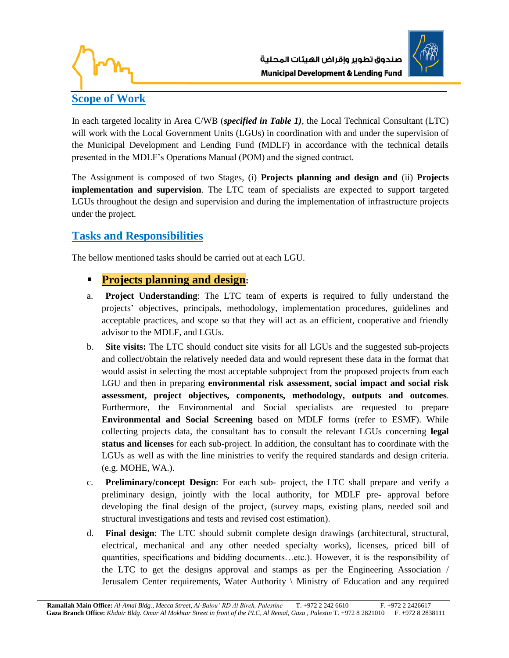



## **Scope of Work**

In each targeted locality in Area C/WB (*specified in Table 1)*, the Local Technical Consultant (LTC) will work with the Local Government Units (LGUs) in coordination with and under the supervision of the Municipal Development and Lending Fund (MDLF) in accordance with the technical details presented in the MDLF's Operations Manual (POM) and the signed contract.

The Assignment is composed of two Stages, (i) **Projects planning and design and** (ii) **Projects implementation and supervision**. The LTC team of specialists are expected to support targeted LGUs throughout the design and supervision and during the implementation of infrastructure projects under the project.

## **Tasks and Responsibilities**

The bellow mentioned tasks should be carried out at each LGU.

- **Projects planning and design:**
- a. **Project Understanding**: The LTC team of experts is required to fully understand the projects' objectives, principals, methodology, implementation procedures, guidelines and acceptable practices, and scope so that they will act as an efficient, cooperative and friendly advisor to the MDLF, and LGUs.
- b. **Site visits:** The LTC should conduct site visits for all LGUs and the suggested sub-projects and collect/obtain the relatively needed data and would represent these data in the format that would assist in selecting the most acceptable subproject from the proposed projects from each LGU and then in preparing **environmental risk assessment, social impact and social risk assessment, project objectives, components, methodology, outputs and outcomes**. Furthermore, the Environmental and Social specialists are requested to prepare **Environmental and Social Screening** based on MDLF forms (refer to ESMF). While collecting projects data, the consultant has to consult the relevant LGUs concerning **legal status and licenses** for each sub-project. In addition, the consultant has to coordinate with the LGUs as well as with the line ministries to verify the required standards and design criteria. (e.g. MOHE, WA.).
- c. **Preliminary/concept Design**: For each sub- project, the LTC shall prepare and verify a preliminary design, jointly with the local authority, for MDLF pre- approval before developing the final design of the project, (survey maps, existing plans, needed soil and structural investigations and tests and revised cost estimation).
- d. **Final design**: The LTC should submit complete design drawings (architectural, structural, electrical, mechanical and any other needed specialty works), licenses, priced bill of quantities, specifications and bidding documents…etc.). However, it is the responsibility of the LTC to get the designs approval and stamps as per the Engineering Association / Jerusalem Center requirements, Water Authority \ Ministry of Education and any required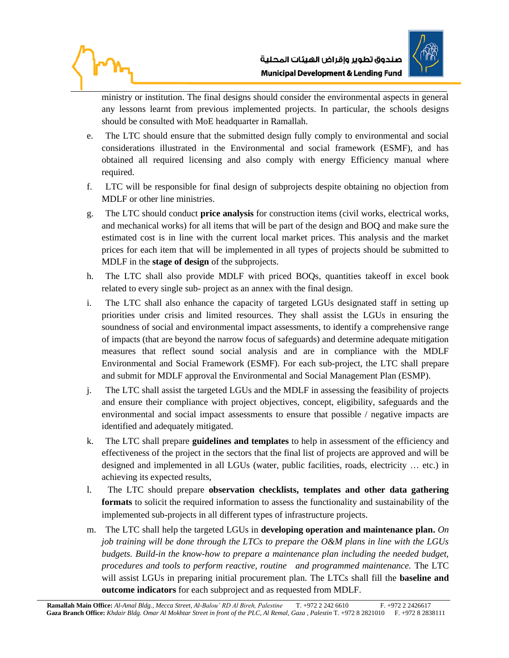



ministry or institution. The final designs should consider the environmental aspects in general any lessons learnt from previous implemented projects. In particular, the schools designs should be consulted with MoE headquarter in Ramallah.

- e. The LTC should ensure that the submitted design fully comply to environmental and social considerations illustrated in the Environmental and social framework (ESMF), and has obtained all required licensing and also comply with energy Efficiency manual where required.
- f. LTC will be responsible for final design of subprojects despite obtaining no objection from MDLF or other line ministries.
- g. The LTC should conduct **price analysis** for construction items (civil works, electrical works, and mechanical works) for all items that will be part of the design and BOQ and make sure the estimated cost is in line with the current local market prices. This analysis and the market prices for each item that will be implemented in all types of projects should be submitted to MDLF in the **stage of design** of the subprojects.
- h. The LTC shall also provide MDLF with priced BOQs, quantities takeoff in excel book related to every single sub- project as an annex with the final design.
- i. The LTC shall also enhance the capacity of targeted LGUs designated staff in setting up priorities under crisis and limited resources. They shall assist the LGUs in ensuring the soundness of social and environmental impact assessments, to identify a comprehensive range of impacts (that are beyond the narrow focus of safeguards) and determine adequate mitigation measures that reflect sound social analysis and are in compliance with the MDLF Environmental and Social Framework (ESMF). For each sub-project, the LTC shall prepare and submit for MDLF approval the Environmental and Social Management Plan (ESMP).
- j. The LTC shall assist the targeted LGUs and the MDLF in assessing the feasibility of projects and ensure their compliance with project objectives, concept, eligibility, safeguards and the environmental and social impact assessments to ensure that possible / negative impacts are identified and adequately mitigated.
- k. The LTC shall prepare **guidelines and templates** to help in assessment of the efficiency and effectiveness of the project in the sectors that the final list of projects are approved and will be designed and implemented in all LGUs (water, public facilities, roads, electricity … etc.) in achieving its expected results,
- l. The LTC should prepare **observation checklists, templates and other data gathering formats** to solicit the required information to assess the functionality and sustainability of the implemented sub-projects in all different types of infrastructure projects.
- m. The LTC shall help the targeted LGUs in **developing operation and maintenance plan.** *On job training will be done through the LTCs to prepare the O&M plans in line with the LGUs budgets. Build-in the know-how to prepare a maintenance plan including the needed budget, procedures and tools to perform reactive, routine and programmed maintenance.* The LTC will assist LGUs in preparing initial procurement plan. The LTCs shall fill the **baseline and outcome indicators** for each subproject and as requested from MDLF.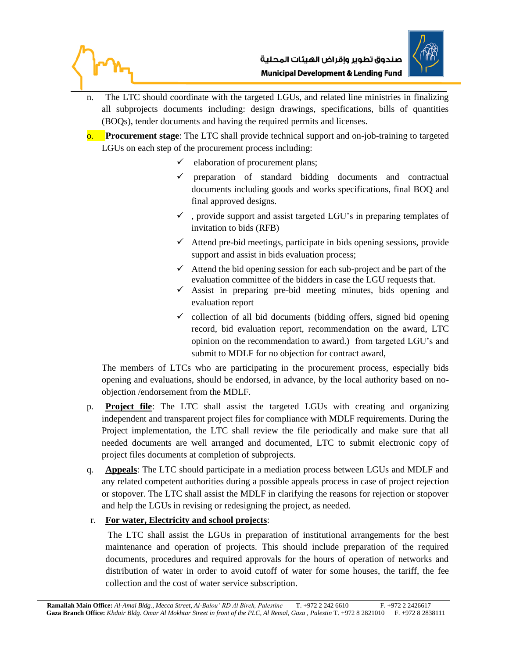



- n. The LTC should coordinate with the targeted LGUs, and related line ministries in finalizing all subprojects documents including: design drawings, specifications, bills of quantities (BOQs), tender documents and having the required permits and licenses.
- o. **Procurement stage**: The LTC shall provide technical support and on-job-training to targeted LGUs on each step of the procurement process including:
	- $\checkmark$  elaboration of procurement plans;
	- ✓ preparation of standard bidding documents and contractual documents including goods and works specifications, final BOQ and final approved designs.
	- ✓ , provide support and assist targeted LGU's in preparing templates of invitation to bids (RFB)
	- $\checkmark$  Attend pre-bid meetings, participate in bids opening sessions, provide support and assist in bids evaluation process;
	- $\checkmark$  Attend the bid opening session for each sub-project and be part of the evaluation committee of the bidders in case the LGU requests that.
	- $\checkmark$  Assist in preparing pre-bid meeting minutes, bids opening and evaluation report
	- $\checkmark$  collection of all bid documents (bidding offers, signed bid opening record, bid evaluation report, recommendation on the award, LTC opinion on the recommendation to award.) from targeted LGU's and submit to MDLF for no objection for contract award,

The members of LTCs who are participating in the procurement process, especially bids opening and evaluations, should be endorsed, in advance, by the local authority based on noobjection /endorsement from the MDLF.

- p. **Project file**: The LTC shall assist the targeted LGUs with creating and organizing independent and transparent project files for compliance with MDLF requirements. During the Project implementation, the LTC shall review the file periodically and make sure that all needed documents are well arranged and documented, LTC to submit electronic copy of project files documents at completion of subprojects.
- q. **Appeals**: The LTC should participate in a mediation process between LGUs and MDLF and any related competent authorities during a possible appeals process in case of project rejection or stopover. The LTC shall assist the MDLF in clarifying the reasons for rejection or stopover and help the LGUs in revising or redesigning the project, as needed.

### r. **For water, Electricity and school projects**:

The LTC shall assist the LGUs in preparation of institutional arrangements for the best maintenance and operation of projects. This should include preparation of the required documents, procedures and required approvals for the hours of operation of networks and distribution of water in order to avoid cutoff of water for some houses, the tariff, the fee collection and the cost of water service subscription.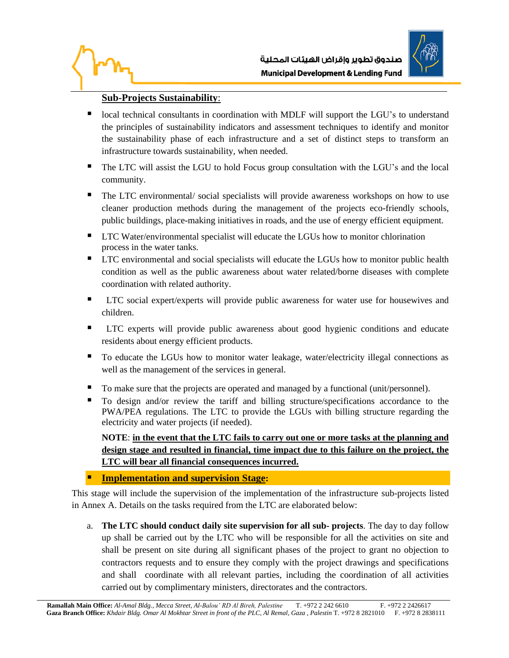



### **Sub-Projects Sustainability**:

- local technical consultants in coordination with MDLF will support the LGU's to understand the principles of sustainability indicators and assessment techniques to identify and monitor the sustainability phase of each infrastructure and a set of distinct steps to transform an infrastructure towards sustainability, when needed.
- The LTC will assist the LGU to hold Focus group consultation with the LGU's and the local community.
- The LTC environmental/ social specialists will provide awareness workshops on how to use cleaner production methods during the management of the projects eco-friendly schools, public buildings, place-making initiatives in roads, and the use of energy efficient equipment.
- LTC Water/environmental specialist will educate the LGUs how to monitor chlorination process in the water tanks.
- LTC environmental and social specialists will educate the LGUs how to monitor public health condition as well as the public awareness about water related/borne diseases with complete coordination with related authority.
- LTC social expert/experts will provide public awareness for water use for housewives and children.
- LTC experts will provide public awareness about good hygienic conditions and educate residents about energy efficient products.
- To educate the LGUs how to monitor water leakage, water/electricity illegal connections as well as the management of the services in general.
- To make sure that the projects are operated and managed by a functional (unit/personnel).
- To design and/or review the tariff and billing structure/specifications accordance to the PWA/PEA regulations. The LTC to provide the LGUs with billing structure regarding the electricity and water projects (if needed).

**NOTE**: **in the event that the LTC fails to carry out one or more tasks at the planning and design stage and resulted in financial, time impact due to this failure on the project, the LTC will bear all financial consequences incurred.**

### **Implementation and supervision Stage:**

This stage will include the supervision of the implementation of the infrastructure sub-projects listed in Annex A. Details on the tasks required from the LTC are elaborated below:

a. **The LTC should conduct daily site supervision for all sub- projects**. The day to day follow up shall be carried out by the LTC who will be responsible for all the activities on site and shall be present on site during all significant phases of the project to grant no objection to contractors requests and to ensure they comply with the project drawings and specifications and shall coordinate with all relevant parties, including the coordination of all activities carried out by complimentary ministers, directorates and the contractors.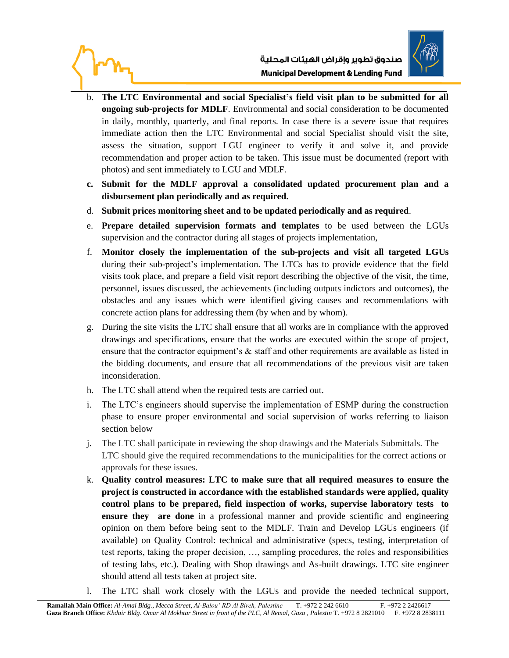



- b. **The LTC Environmental and social Specialist's field visit plan to be submitted for all ongoing sub-projects for MDLF**. Environmental and social consideration to be documented in daily, monthly, quarterly, and final reports. In case there is a severe issue that requires immediate action then the LTC Environmental and social Specialist should visit the site, assess the situation, support LGU engineer to verify it and solve it, and provide recommendation and proper action to be taken. This issue must be documented (report with photos) and sent immediately to LGU and MDLF.
- **c. Submit for the MDLF approval a consolidated updated procurement plan and a disbursement plan periodically and as required.**
- d. **Submit prices monitoring sheet and to be updated periodically and as required**.
- e. **Prepare detailed supervision formats and templates** to be used between the LGUs supervision and the contractor during all stages of projects implementation,
- f. **Monitor closely the implementation of the sub-projects and visit all targeted LGUs** during their sub-project's implementation. The LTCs has to provide evidence that the field visits took place, and prepare a field visit report describing the objective of the visit, the time, personnel, issues discussed, the achievements (including outputs indictors and outcomes), the obstacles and any issues which were identified giving causes and recommendations with concrete action plans for addressing them (by when and by whom).
- g. During the site visits the LTC shall ensure that all works are in compliance with the approved drawings and specifications, ensure that the works are executed within the scope of project, ensure that the contractor equipment's  $\&$  staff and other requirements are available as listed in the bidding documents, and ensure that all recommendations of the previous visit are taken inconsideration.
- h. The LTC shall attend when the required tests are carried out.
- i. The LTC's engineers should supervise the implementation of ESMP during the construction phase to ensure proper environmental and social supervision of works referring to liaison section below
- j. The LTC shall participate in reviewing the shop drawings and the Materials Submittals. The LTC should give the required recommendations to the municipalities for the correct actions or approvals for these issues.
- k. **Quality control measures: LTC to make sure that all required measures to ensure the project is constructed in accordance with the established standards were applied, quality control plans to be prepared, field inspection of works, supervise laboratory tests to ensure they are done** in a professional manner and provide scientific and engineering opinion on them before being sent to the MDLF. Train and Develop LGUs engineers (if available) on Quality Control: technical and administrative (specs, testing, interpretation of test reports, taking the proper decision, …, sampling procedures, the roles and responsibilities of testing labs, etc.). Dealing with Shop drawings and As-built drawings. LTC site engineer should attend all tests taken at project site.
- l. The LTC shall work closely with the LGUs and provide the needed technical support,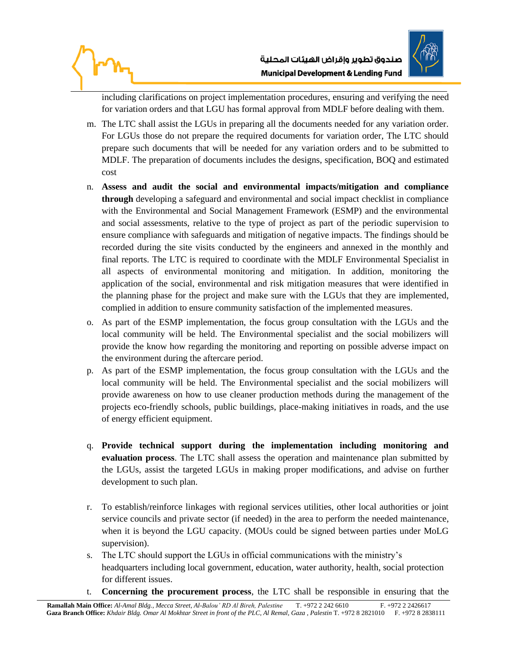



including clarifications on project implementation procedures, ensuring and verifying the need for variation orders and that LGU has formal approval from MDLF before dealing with them.

- m. The LTC shall assist the LGUs in preparing all the documents needed for any variation order. For LGUs those do not prepare the required documents for variation order, The LTC should prepare such documents that will be needed for any variation orders and to be submitted to MDLF. The preparation of documents includes the designs, specification, BOQ and estimated cost
- n. **Assess and audit the social and environmental impacts/mitigation and compliance through** developing a safeguard and environmental and social impact checklist in compliance with the Environmental and Social Management Framework (ESMP) and the environmental and social assessments, relative to the type of project as part of the periodic supervision to ensure compliance with safeguards and mitigation of negative impacts. The findings should be recorded during the site visits conducted by the engineers and annexed in the monthly and final reports. The LTC is required to coordinate with the MDLF Environmental Specialist in all aspects of environmental monitoring and mitigation. In addition, monitoring the application of the social, environmental and risk mitigation measures that were identified in the planning phase for the project and make sure with the LGUs that they are implemented, complied in addition to ensure community satisfaction of the implemented measures.
- o. As part of the ESMP implementation, the focus group consultation with the LGUs and the local community will be held. The Environmental specialist and the social mobilizers will provide the know how regarding the monitoring and reporting on possible adverse impact on the environment during the aftercare period.
- p. As part of the ESMP implementation, the focus group consultation with the LGUs and the local community will be held. The Environmental specialist and the social mobilizers will provide awareness on how to use cleaner production methods during the management of the projects eco-friendly schools, public buildings, place-making initiatives in roads, and the use of energy efficient equipment.
- q. **Provide technical support during the implementation including monitoring and evaluation process**. The LTC shall assess the operation and maintenance plan submitted by the LGUs, assist the targeted LGUs in making proper modifications, and advise on further development to such plan.
- r. To establish/reinforce linkages with regional services utilities, other local authorities or joint service councils and private sector (if needed) in the area to perform the needed maintenance, when it is beyond the LGU capacity. (MOUs could be signed between parties under MoLG supervision).
- s. The LTC should support the LGUs in official communications with the ministry's headquarters including local government, education, water authority, health, social protection for different issues.
- t. **Concerning the procurement process**, the LTC shall be responsible in ensuring that the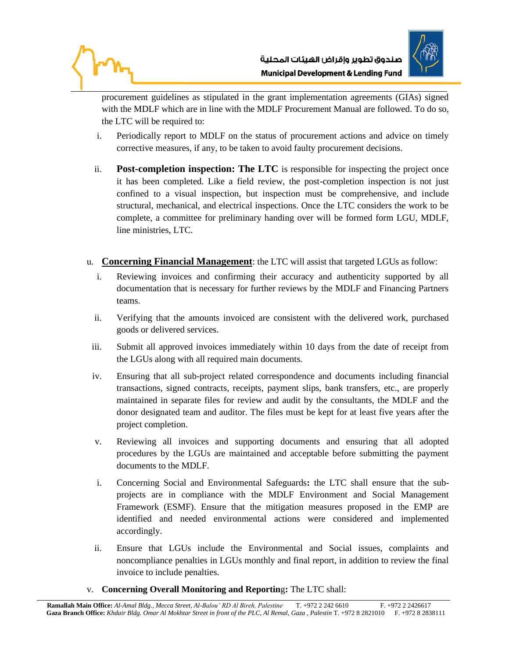



procurement guidelines as stipulated in the grant implementation agreements (GIAs) signed with the MDLF which are in line with the MDLF Procurement Manual are followed. To do so, the LTC will be required to:

- i. Periodically report to MDLF on the status of procurement actions and advice on timely corrective measures, if any, to be taken to avoid faulty procurement decisions.
- ii. **Post-completion inspection: The LTC** is responsible for inspecting the project once it has been completed. Like a field review, the post-completion inspection is not just confined to a visual inspection, but inspection must be comprehensive, and include structural, mechanical, and electrical inspections. Once the LTC considers the work to be complete, a committee for preliminary handing over will be formed form LGU, MDLF, line ministries, LTC.
- u. **Concerning Financial Management**: the LTC will assist that targeted LGUs as follow:
	- i. Reviewing invoices and confirming their accuracy and authenticity supported by all documentation that is necessary for further reviews by the MDLF and Financing Partners teams.
	- ii. Verifying that the amounts invoiced are consistent with the delivered work, purchased goods or delivered services.
- iii. Submit all approved invoices immediately within 10 days from the date of receipt from the LGUs along with all required main documents.
- iv. Ensuring that all sub-project related correspondence and documents including financial transactions, signed contracts, receipts, payment slips, bank transfers, etc., are properly maintained in separate files for review and audit by the consultants, the MDLF and the donor designated team and auditor. The files must be kept for at least five years after the project completion.
- v. Reviewing all invoices and supporting documents and ensuring that all adopted procedures by the LGUs are maintained and acceptable before submitting the payment documents to the MDLF.
- i. Concerning Social and Environmental Safeguards**:** the LTC shall ensure that the subprojects are in compliance with the MDLF Environment and Social Management Framework (ESMF). Ensure that the mitigation measures proposed in the EMP are identified and needed environmental actions were considered and implemented accordingly.
- ii. Ensure that LGUs include the Environmental and Social issues, complaints and noncompliance penalties in LGUs monthly and final report, in addition to review the final invoice to include penalties.
- v. **Concerning Overall Monitoring and Reportin**g**:** The LTC shall: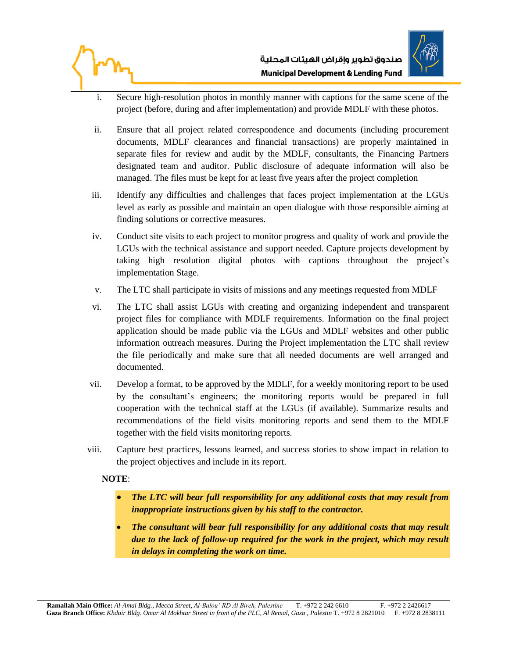



- i. Secure high-resolution photos in monthly manner with captions for the same scene of the project (before, during and after implementation) and provide MDLF with these photos.
- ii. Ensure that all project related correspondence and documents (including procurement documents, MDLF clearances and financial transactions) are properly maintained in separate files for review and audit by the MDLF, consultants, the Financing Partners designated team and auditor. Public disclosure of adequate information will also be managed. The files must be kept for at least five years after the project completion
- iii. Identify any difficulties and challenges that faces project implementation at the LGUs level as early as possible and maintain an open dialogue with those responsible aiming at finding solutions or corrective measures.
- iv. Conduct site visits to each project to monitor progress and quality of work and provide the LGUs with the technical assistance and support needed. Capture projects development by taking high resolution digital photos with captions throughout the project's implementation Stage.
- v. The LTC shall participate in visits of missions and any meetings requested from MDLF
- vi. The LTC shall assist LGUs with creating and organizing independent and transparent project files for compliance with MDLF requirements. Information on the final project application should be made public via the LGUs and MDLF websites and other public information outreach measures. During the Project implementation the LTC shall review the file periodically and make sure that all needed documents are well arranged and documented.
- vii. Develop a format, to be approved by the MDLF, for a weekly monitoring report to be used by the consultant's engineers; the monitoring reports would be prepared in full cooperation with the technical staff at the LGUs (if available). Summarize results and recommendations of the field visits monitoring reports and send them to the MDLF together with the field visits monitoring reports.
- viii. Capture best practices, lessons learned, and success stories to show impact in relation to the project objectives and include in its report.

#### **NOTE**:

- *The LTC will bear full responsibility for any additional costs that may result from inappropriate instructions given by his staff to the contractor.*
- *The consultant will bear full responsibility for any additional costs that may result due to the lack of follow-up required for the work in the project, which may result in delays in completing the work on time.*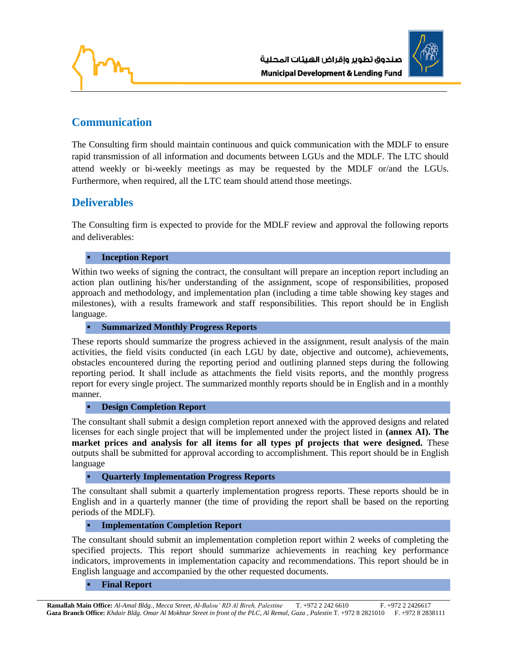

# **Communication**

The Consulting firm should maintain continuous and quick communication with the MDLF to ensure rapid transmission of all information and documents between LGUs and the MDLF. The LTC should attend weekly or bi-weekly meetings as may be requested by the MDLF or/and the LGUs. Furthermore, when required, all the LTC team should attend those meetings.

## **Deliverables**

The Consulting firm is expected to provide for the MDLF review and approval the following reports and deliverables:

**Inception Report** 

Within two weeks of signing the contract, the consultant will prepare an inception report including an action plan outlining his/her understanding of the assignment, scope of responsibilities, proposed approach and methodology, and implementation plan (including a time table showing key stages and milestones), with a results framework and staff responsibilities. This report should be in English language.

▪ **Summarized Monthly Progress Reports**

These reports should summarize the progress achieved in the assignment, result analysis of the main activities, the field visits conducted (in each LGU by date, objective and outcome), achievements, obstacles encountered during the reporting period and outlining planned steps during the following reporting period. It shall include as attachments the field visits reports, and the monthly progress report for every single project. The summarized monthly reports should be in English and in a monthly manner.

#### **Design Completion Report**

The consultant shall submit a design completion report annexed with the approved designs and related licenses for each single project that will be implemented under the project listed in **(annex AI). The market prices and analysis for all items for all types pf projects that were designed.** These outputs shall be submitted for approval according to accomplishment. This report should be in English language

▪ **Quarterly Implementation Progress Reports**

The consultant shall submit a quarterly implementation progress reports. These reports should be in English and in a quarterly manner (the time of providing the report shall be based on the reporting periods of the MDLF).

▪ **Implementation Completion Report**

The consultant should submit an implementation completion report within 2 weeks of completing the specified projects. This report should summarize achievements in reaching key performance indicators, improvements in implementation capacity and recommendations. This report should be in English language and accompanied by the other requested documents.

#### **Final Report**

 **Ramallah Main Office:** *Al-Amal Bldg., Mecca Street, Al-Balou' RD Al Bireh, Palestine* T. +972 2 242 6610 F. +972 2 2426617  **Gaza Branch Office:** *Khdair Bldg. Omar Al Mokhtar Street in front of the PLC, Al Remal, Gaza , Palestin* T. +972 8 2821010 F. +972 8 2838111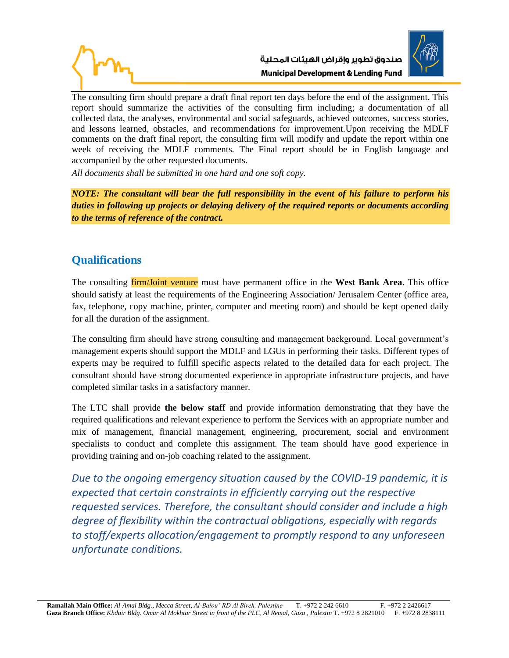



The consulting firm should prepare a draft final report ten days before the end of the assignment. This report should summarize the activities of the consulting firm including; a documentation of all collected data, the analyses, environmental and social safeguards, achieved outcomes, success stories, and lessons learned, obstacles, and recommendations for improvement.Upon receiving the MDLF comments on the draft final report, the consulting firm will modify and update the report within one week of receiving the MDLF comments. The Final report should be in English language and accompanied by the other requested documents.

*All documents shall be submitted in one hard and one soft copy.*

*NOTE: The consultant will bear the full responsibility in the event of his failure to perform his duties in following up projects or delaying delivery of the required reports or documents according to the terms of reference of the contract.*

## **Qualifications**

The consulting firm/Joint venture must have permanent office in the **West Bank Area**. This office should satisfy at least the requirements of the Engineering Association/ Jerusalem Center (office area, fax, telephone, copy machine, printer, computer and meeting room) and should be kept opened daily for all the duration of the assignment.

The consulting firm should have strong consulting and management background. Local government's management experts should support the MDLF and LGUs in performing their tasks. Different types of experts may be required to fulfill specific aspects related to the detailed data for each project. The consultant should have strong documented experience in appropriate infrastructure projects, and have completed similar tasks in a satisfactory manner.

The LTC shall provide **the below staff** and provide information demonstrating that they have the required qualifications and relevant experience to perform the Services with an appropriate number and mix of management, financial management, engineering, procurement, social and environment specialists to conduct and complete this assignment. The team should have good experience in providing training and on-job coaching related to the assignment.

*Due to the ongoing emergency situation caused by the COVID-19 pandemic, it is expected that certain constraints in efficiently carrying out the respective requested services. Therefore, the consultant should consider and include a high degree of flexibility within the contractual obligations, especially with regards to staff/experts allocation/engagement to promptly respond to any unforeseen unfortunate conditions.*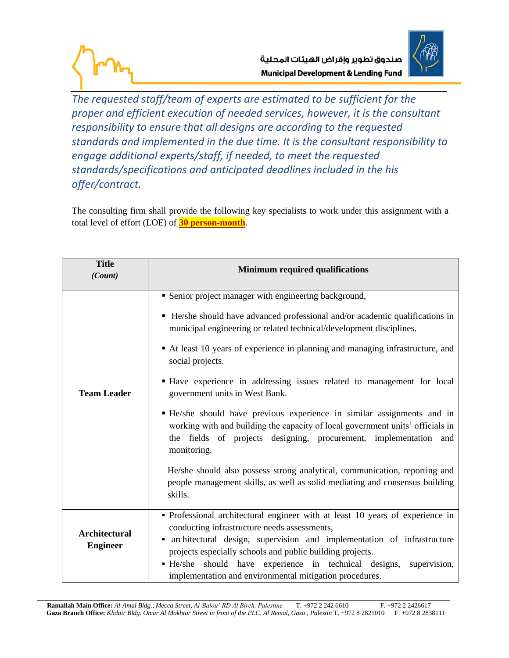



*The requested staff/team of experts are estimated to be sufficient for the proper and efficient execution of needed services, however, it is the consultant responsibility to ensure that all designs are according to the requested standards and implemented in the due time. It is the consultant responsibility to engage additional experts/staff, if needed, to meet the requested standards/specifications and anticipated deadlines included in the his offer/contract.* 

The consulting firm shall provide the following key specialists to work under this assignment with a total level of effort (LOE) of **30 person-month**.

| <b>Title</b><br>(Count)                                                                                                                                                                                                                                                                                                                                                                                                                               | <b>Minimum required qualifications</b>                                                                                                                                                                                                                                                                                                                                                                                                                                                                                                                                                                                                                                                                                                                                                                                                               |  |
|-------------------------------------------------------------------------------------------------------------------------------------------------------------------------------------------------------------------------------------------------------------------------------------------------------------------------------------------------------------------------------------------------------------------------------------------------------|------------------------------------------------------------------------------------------------------------------------------------------------------------------------------------------------------------------------------------------------------------------------------------------------------------------------------------------------------------------------------------------------------------------------------------------------------------------------------------------------------------------------------------------------------------------------------------------------------------------------------------------------------------------------------------------------------------------------------------------------------------------------------------------------------------------------------------------------------|--|
| <b>Team Leader</b>                                                                                                                                                                                                                                                                                                                                                                                                                                    | • Senior project manager with engineering background,<br>• He/she should have advanced professional and/or academic qualifications in<br>municipal engineering or related technical/development disciplines.<br>At least 10 years of experience in planning and managing infrastructure, and<br>social projects.<br>• Have experience in addressing issues related to management for local<br>government units in West Bank.<br>• He/she should have previous experience in similar assignments and in<br>working with and building the capacity of local government units' officials in<br>the fields of projects designing, procurement, implementation and<br>monitoring.<br>He/she should also possess strong analytical, communication, reporting and<br>people management skills, as well as solid mediating and consensus building<br>skills. |  |
| • Professional architectural engineer with at least 10 years of experience in<br>conducting infrastructure needs assessments,<br><b>Architectural</b><br>• architectural design, supervision and implementation of infrastructure<br><b>Engineer</b><br>projects especially schools and public building projects.<br>• He/she should have experience in technical designs,<br>supervision,<br>implementation and environmental mitigation procedures. |                                                                                                                                                                                                                                                                                                                                                                                                                                                                                                                                                                                                                                                                                                                                                                                                                                                      |  |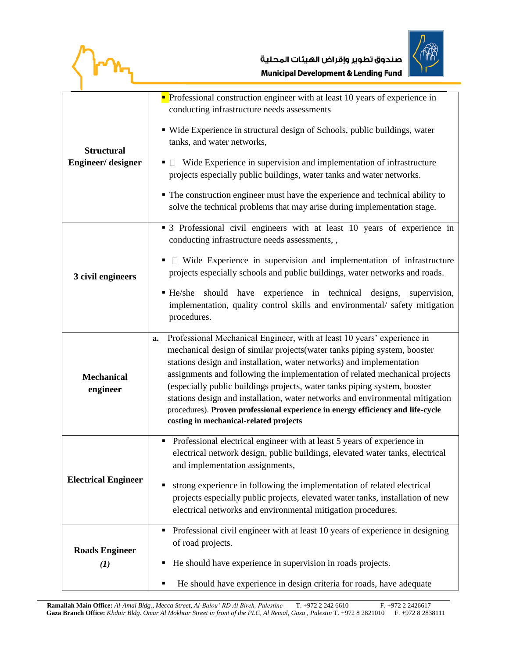$\sqrt{\mathbf{r}n_{1}}$ 



| <b>Structural</b><br>Engineer/designer                                                                                                                                                                                                                                                         | $\blacksquare$ Professional construction engineer with at least 10 years of experience in<br>conducting infrastructure needs assessments<br>• Wide Experience in structural design of Schools, public buildings, water<br>tanks, and water networks,<br>$\blacksquare$ Wide Experience in supervision and implementation of infrastructure<br>projects especially public buildings, water tanks and water networks.<br>• The construction engineer must have the experience and technical ability to<br>solve the technical problems that may arise during implementation stage.                             |  |  |
|------------------------------------------------------------------------------------------------------------------------------------------------------------------------------------------------------------------------------------------------------------------------------------------------|--------------------------------------------------------------------------------------------------------------------------------------------------------------------------------------------------------------------------------------------------------------------------------------------------------------------------------------------------------------------------------------------------------------------------------------------------------------------------------------------------------------------------------------------------------------------------------------------------------------|--|--|
| 3 civil engineers                                                                                                                                                                                                                                                                              | • 3 Professional civil engineers with at least 10 years of experience in<br>conducting infrastructure needs assessments,,<br>$\Box$ Wide Experience in supervision and implementation of infrastructure<br>projects especially schools and public buildings, water networks and roads.<br>should have experience in technical designs,<br>He/she<br>supervision,<br>implementation, quality control skills and environmental/ safety mitigation<br>procedures.                                                                                                                                               |  |  |
| <b>Mechanical</b><br>engineer                                                                                                                                                                                                                                                                  | Professional Mechanical Engineer, with at least 10 years' experience in<br>a.<br>mechanical design of similar projects (water tanks piping system, booster<br>stations design and installation, water networks) and implementation<br>assignments and following the implementation of related mechanical projects<br>(especially public buildings projects, water tanks piping system, booster<br>stations design and installation, water networks and environmental mitigation<br>procedures). Proven professional experience in energy efficiency and life-cycle<br>costing in mechanical-related projects |  |  |
| <b>Electrical Engineer</b>                                                                                                                                                                                                                                                                     | Professional electrical engineer with at least 5 years of experience in<br>٠<br>electrical network design, public buildings, elevated water tanks, electrical<br>and implementation assignments,<br>strong experience in following the implementation of related electrical<br>projects especially public projects, elevated water tanks, installation of new<br>electrical networks and environmental mitigation procedures.                                                                                                                                                                                |  |  |
| Professional civil engineer with at least 10 years of experience in designing<br>٠<br>of road projects.<br><b>Roads Engineer</b><br>He should have experience in supervision in roads projects.<br>٠<br>$\bf{I}$<br>He should have experience in design criteria for roads, have adequate<br>٠ |                                                                                                                                                                                                                                                                                                                                                                                                                                                                                                                                                                                                              |  |  |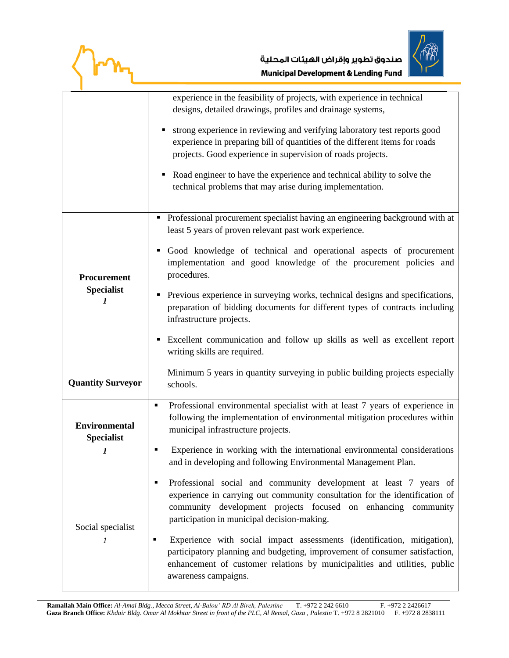$\langle$ Im $_{\rm t}$ 



|                                                | experience in the feasibility of projects, with experience in technical<br>designs, detailed drawings, profiles and drainage systems,<br>• strong experience in reviewing and verifying laboratory test reports good<br>experience in preparing bill of quantities of the different items for roads<br>projects. Good experience in supervision of roads projects.<br>Road engineer to have the experience and technical ability to solve the<br>technical problems that may arise during implementation.                                                                                                     |  |
|------------------------------------------------|---------------------------------------------------------------------------------------------------------------------------------------------------------------------------------------------------------------------------------------------------------------------------------------------------------------------------------------------------------------------------------------------------------------------------------------------------------------------------------------------------------------------------------------------------------------------------------------------------------------|--|
| Procurement<br><b>Specialist</b><br>1          | Professional procurement specialist having an engineering background with at<br>least 5 years of proven relevant past work experience.<br>Good knowledge of technical and operational aspects of procurement<br>٠<br>implementation and good knowledge of the procurement policies and<br>procedures.<br>Previous experience in surveying works, technical designs and specifications,<br>preparation of bidding documents for different types of contracts including<br>infrastructure projects.<br>Excellent communication and follow up skills as well as excellent report<br>writing skills are required. |  |
| <b>Quantity Surveyor</b>                       | Minimum 5 years in quantity surveying in public building projects especially<br>schools.                                                                                                                                                                                                                                                                                                                                                                                                                                                                                                                      |  |
| <b>Environmental</b><br><b>Specialist</b><br>1 | Professional environmental specialist with at least 7 years of experience in<br>٠<br>following the implementation of environmental mitigation procedures within<br>municipal infrastructure projects.<br>Experience in working with the international environmental considerations<br>and in developing and following Environmental Management Plan.                                                                                                                                                                                                                                                          |  |
| Social specialist<br>1                         | Professional social and community development at least 7 years of<br>$\blacksquare$<br>experience in carrying out community consultation for the identification of<br>community development projects focused on enhancing community<br>participation in municipal decision-making.<br>Experience with social impact assessments (identification, mitigation),<br>٠<br>participatory planning and budgeting, improvement of consumer satisfaction,<br>enhancement of customer relations by municipalities and utilities, public<br>awareness campaigns.                                                        |  |

 **Ramallah Main Office:** *Al-Amal Bldg., Mecca Street, Al-Balou' RD Al Bireh, Palestine* T. +972 2 242 6610 F. +972 2 2426617 **Gaza Branch Office:** *Khdair Bldg. Omar Al Mokhtar Street in front of the PLC, Al Remal, Gaza, Palestin* T. +972 8 2821010 F. +972 8 2838111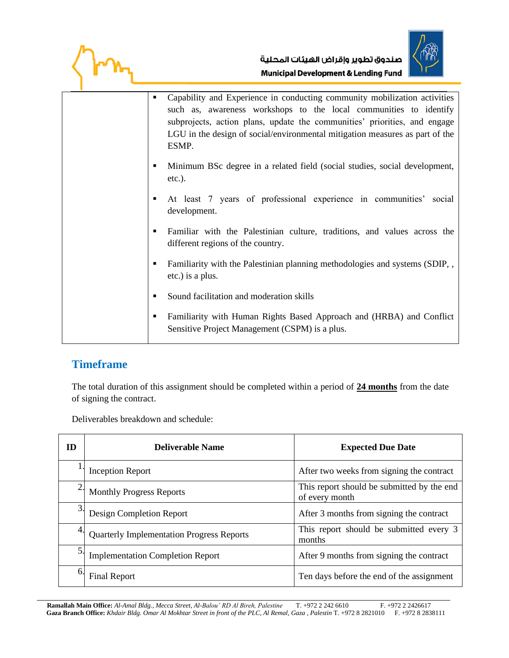



**• Capability and Experience in conducting community mobilization activities** such as, awareness workshops to the local communities to identify subprojects, action plans, update the communities' priorities, and engage LGU in the design of social/environmental mitigation measures as part of the ESMP. ▪ Minimum BSc degree in a related field (social studies, social development, etc.). ▪ At least 7 years of professional experience in communities' social development. ▪ Familiar with the Palestinian culture, traditions, and values across the different regions of the country. Familiarity with the Palestinian planning methodologies and systems (SDIP, , etc.) is a plus. ■ Sound facilitation and moderation skills ▪ Familiarity with Human Rights Based Approach and (HRBA) and Conflict Sensitive Project Management (CSPM) is a plus.

# **Timeframe**

The total duration of this assignment should be completed within a period of **24 months** from the date of signing the contract.

Deliverables breakdown and schedule:

| <b>ID</b>      | <b>Deliverable Name</b>                          | <b>Expected Due Date</b>                                     |
|----------------|--------------------------------------------------|--------------------------------------------------------------|
|                | <b>Inception Report</b>                          | After two weeks from signing the contract                    |
| $\overline{2}$ | <b>Monthly Progress Reports</b>                  | This report should be submitted by the end<br>of every month |
| 3              | Design Completion Report                         | After 3 months from signing the contract                     |
| 4.             | <b>Quarterly Implementation Progress Reports</b> | This report should be submitted every 3<br>months            |
| 5.             | <b>Implementation Completion Report</b>          | After 9 months from signing the contract                     |
| 6.             | <b>Final Report</b>                              | Ten days before the end of the assignment                    |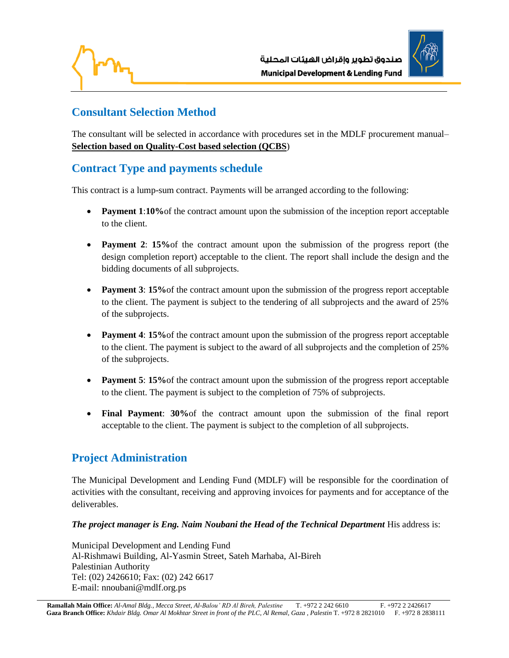



## **Consultant Selection Method**

The consultant will be selected in accordance with procedures set in the MDLF procurement manual– **Selection based on Quality-Cost based selection (QCBS**)

# **Contract Type and payments schedule**

This contract is a lump-sum contract. Payments will be arranged according to the following:

- **Payment 1:10%** of the contract amount upon the submission of the inception report acceptable to the client.
- **Payment 2**: **15%**of the contract amount upon the submission of the progress report (the design completion report) acceptable to the client. The report shall include the design and the bidding documents of all subprojects.
- **Payment 3: 15%** of the contract amount upon the submission of the progress report acceptable to the client. The payment is subject to the tendering of all subprojects and the award of 25% of the subprojects.
- **Payment 4: 15%** of the contract amount upon the submission of the progress report acceptable to the client. The payment is subject to the award of all subprojects and the completion of 25% of the subprojects.
- **Payment 5: 15%** of the contract amount upon the submission of the progress report acceptable to the client. The payment is subject to the completion of 75% of subprojects.
- **Final Payment**: **30%**of the contract amount upon the submission of the final report acceptable to the client. The payment is subject to the completion of all subprojects.

# **Project Administration**

The Municipal Development and Lending Fund (MDLF) will be responsible for the coordination of activities with the consultant, receiving and approving invoices for payments and for acceptance of the deliverables.

#### *The project manager is Eng. Naim Noubani the Head of the Technical Department His address is:*

Municipal Development and Lending Fund Al-Rishmawi Building, Al-Yasmin Street, Sateh Marhaba, Al-Bireh Palestinian Authority Tel: (02) 2426610; Fax: (02) 242 6617 E-mail: nnoubani@mdlf.org.ps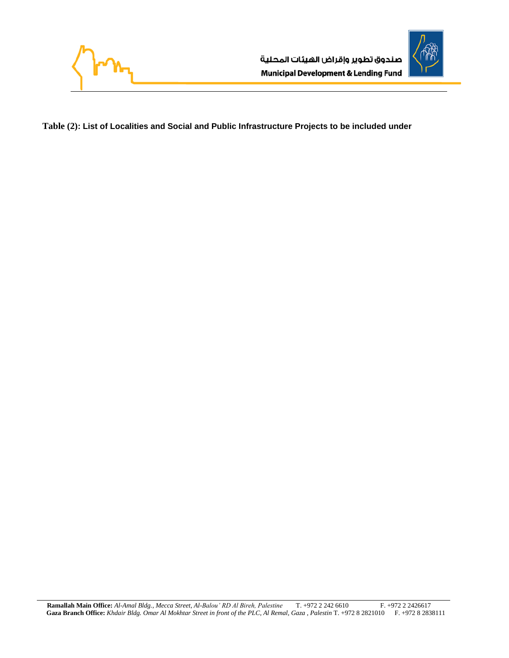



**Table (2): List of Localities and Social and Public Infrastructure Projects to be included under**